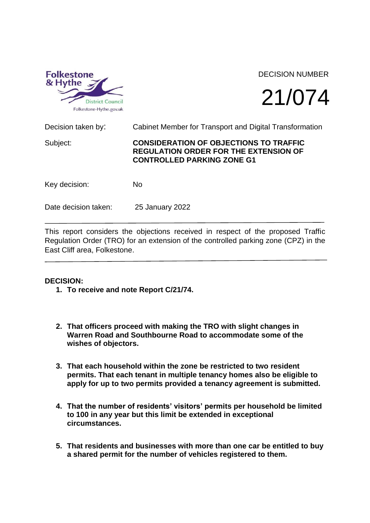

## DECISION NUMBER

# 21/074

Decision taken by: Cabinet Member for Transport and Digital Transformation Subject: **CONSIDERATION OF OBJECTIONS TO TRAFFIC REGULATION ORDER FOR THE EXTENSION OF CONTROLLED PARKING ZONE G1** Key decision: No Date decision taken: 25 January 2022

This report considers the objections received in respect of the proposed Traffic Regulation Order (TRO) for an extension of the controlled parking zone (CPZ) in the East Cliff area, Folkestone.

### **DECISION:**

- **1. To receive and note Report C/21/74.**
- **2. That officers proceed with making the TRO with slight changes in Warren Road and Southbourne Road to accommodate some of the wishes of objectors.**
- **3. That each household within the zone be restricted to two resident permits. That each tenant in multiple tenancy homes also be eligible to apply for up to two permits provided a tenancy agreement is submitted.**
- **4. That the number of residents' visitors' permits per household be limited to 100 in any year but this limit be extended in exceptional circumstances.**
- **5. That residents and businesses with more than one car be entitled to buy a shared permit for the number of vehicles registered to them.**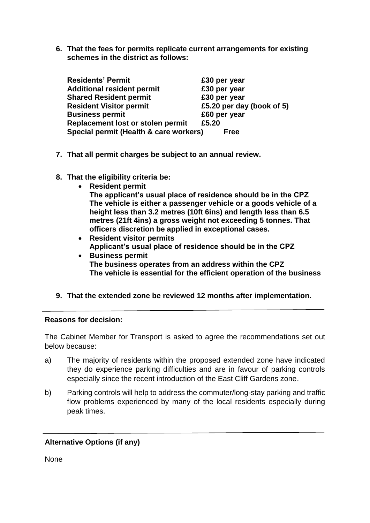**6. That the fees for permits replicate current arrangements for existing schemes in the district as follows:**

| <b>Residents' Permit</b>               | £30 per year              |  |
|----------------------------------------|---------------------------|--|
| <b>Additional resident permit</b>      | £30 per year              |  |
| <b>Shared Resident permit</b>          | £30 per year              |  |
| <b>Resident Visitor permit</b>         | £5.20 per day (book of 5) |  |
| <b>Business permit</b>                 | £60 per year              |  |
| Replacement lost or stolen permit      | £5.20                     |  |
| Special permit (Health & care workers) | <b>Free</b>               |  |

- **7. That all permit charges be subject to an annual review.**
- **8. That the eligibility criteria be:**
	- **Resident permit**

**The applicant's usual place of residence should be in the CPZ The vehicle is either a passenger vehicle or a goods vehicle of a height less than 3.2 metres (10ft 6ins) and length less than 6.5 metres (21ft 4ins) a gross weight not exceeding 5 tonnes. That officers discretion be applied in exceptional cases.**

- **Resident visitor permits Applicant's usual place of residence should be in the CPZ**
- **Business permit The business operates from an address within the CPZ The vehicle is essential for the efficient operation of the business**
- **9. That the extended zone be reviewed 12 months after implementation.**

### **Reasons for decision:**

The Cabinet Member for Transport is asked to agree the recommendations set out below because:

- a) The majority of residents within the proposed extended zone have indicated they do experience parking difficulties and are in favour of parking controls especially since the recent introduction of the East Cliff Gardens zone.
- b) Parking controls will help to address the commuter/long-stay parking and traffic flow problems experienced by many of the local residents especially during peak times.

### **Alternative Options (if any)**

None